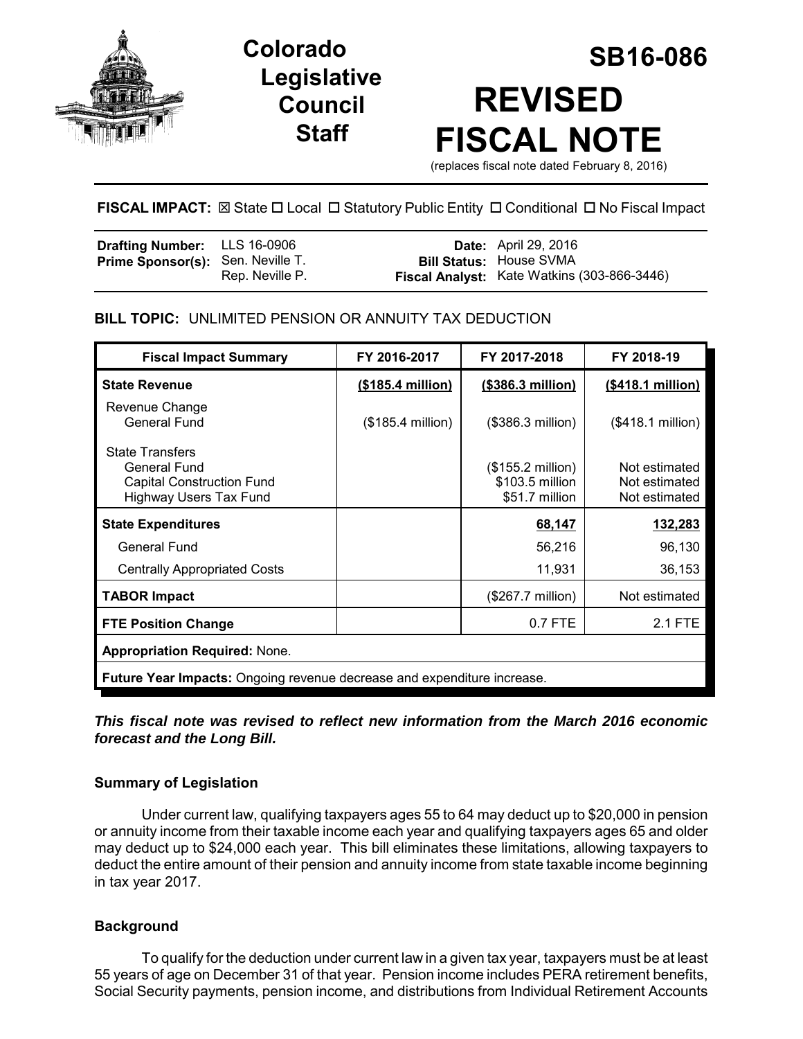

## **Legislative Council Staff**

# **SB16-086 Colorado REVISED FISCAL NOTE**

(replaces fiscal note dated February 8, 2016)

#### **FISCAL IMPACT:**  $\boxtimes$  **State □ Local □ Statutory Public Entity □ Conditional □ No Fiscal Impact**

| <b>Drafting Number:</b> LLS 16-0906      |                 | <b>Date:</b> April 29, 2016                 |
|------------------------------------------|-----------------|---------------------------------------------|
| <b>Prime Sponsor(s):</b> Sen. Neville T. |                 | <b>Bill Status: House SVMA</b>              |
|                                          | Rep. Neville P. | Fiscal Analyst: Kate Watkins (303-866-3446) |

#### **BILL TOPIC:** UNLIMITED PENSION OR ANNUITY TAX DEDUCTION

| <b>Fiscal Impact Summary</b>                                                                                | FY 2016-2017      | FY 2017-2018                                                    | FY 2018-19                                      |  |
|-------------------------------------------------------------------------------------------------------------|-------------------|-----------------------------------------------------------------|-------------------------------------------------|--|
| <b>State Revenue</b>                                                                                        | (\$185.4 million) | (\$386.3 million)                                               | (\$418.1 million)                               |  |
| Revenue Change<br><b>General Fund</b>                                                                       | (\$185.4 million) | (\$386.3 million)                                               | (\$418.1 million)                               |  |
| <b>State Transfers</b><br>General Fund<br><b>Capital Construction Fund</b><br><b>Highway Users Tax Fund</b> |                   | $($155.2 \text{ million})$<br>\$103.5 million<br>\$51.7 million | Not estimated<br>Not estimated<br>Not estimated |  |
| <b>State Expenditures</b>                                                                                   |                   | 68,147                                                          | 132,283                                         |  |
| General Fund                                                                                                |                   | 56,216                                                          | 96,130                                          |  |
| <b>Centrally Appropriated Costs</b>                                                                         |                   | 11,931                                                          | 36,153                                          |  |
| <b>TABOR Impact</b>                                                                                         |                   | (\$267.7 million)                                               | Not estimated                                   |  |
| <b>FTE Position Change</b>                                                                                  |                   | 0.7 FTE                                                         | 2.1 FTE                                         |  |
| <b>Appropriation Required: None.</b>                                                                        |                   |                                                                 |                                                 |  |
| <b>Future Year Impacts:</b> Ongoing revenue decrease and expenditure increase.                              |                   |                                                                 |                                                 |  |

#### *This fiscal note was revised to reflect new information from the March 2016 economic forecast and the Long Bill.*

#### **Summary of Legislation**

Under current law, qualifying taxpayers ages 55 to 64 may deduct up to \$20,000 in pension or annuity income from their taxable income each year and qualifying taxpayers ages 65 and older may deduct up to \$24,000 each year. This bill eliminates these limitations, allowing taxpayers to deduct the entire amount of their pension and annuity income from state taxable income beginning in tax year 2017.

#### **Background**

To qualify for the deduction under current law in a given tax year, taxpayers must be at least 55 years of age on December 31 of that year. Pension income includes PERA retirement benefits, Social Security payments, pension income, and distributions from Individual Retirement Accounts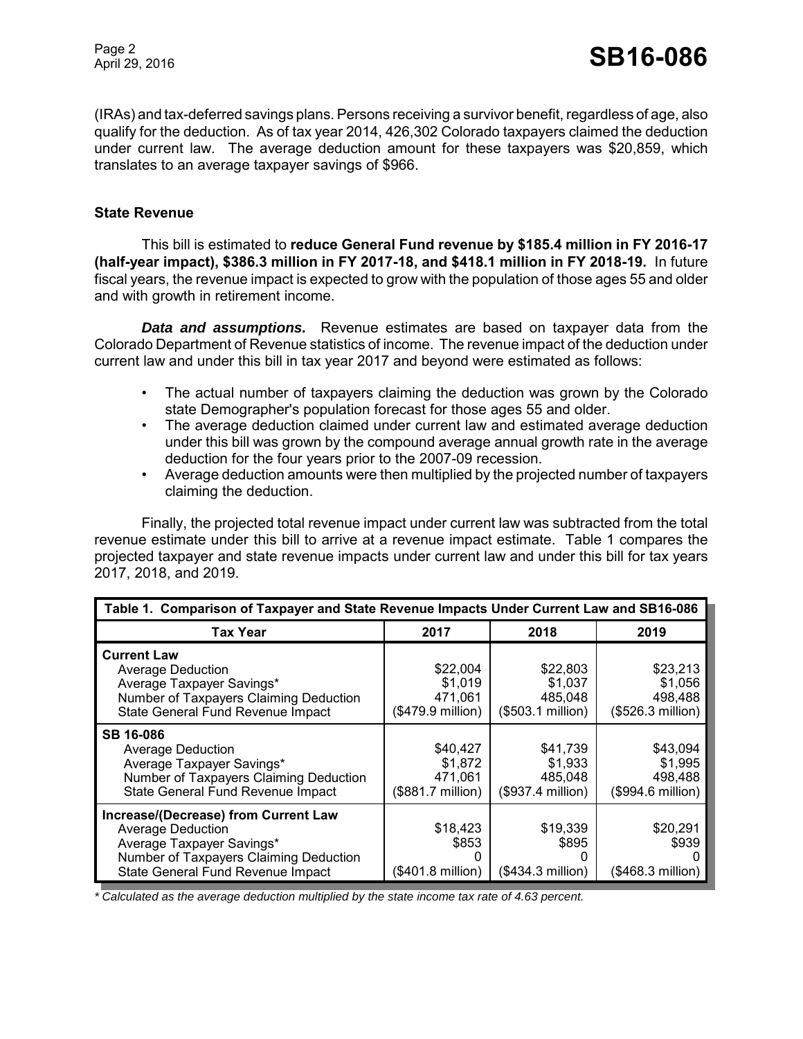(IRAs) and tax-deferred savings plans. Persons receiving a survivor benefit, regardless of age, also qualify for the deduction. As of tax year 2014, 426,302 Colorado taxpayers claimed the deduction under current law. The average deduction amount for these taxpayers was \$20,859, which translates to an average taxpayer savings of \$966.

#### **State Revenue**

This bill is estimated to **reduce General Fund revenue by \$185.4 million in FY 2016-17 (half-year impact), \$386.3 million in FY 2017-18, and \$418.1 million in FY 2018-19.** In future fiscal years, the revenue impact is expected to grow with the population of those ages 55 and older and with growth in retirement income.

*Data and assumptions.* Revenue estimates are based on taxpayer data from the Colorado Department of Revenue statistics of income. The revenue impact of the deduction under current law and under this bill in tax year 2017 and beyond were estimated as follows:

- The actual number of taxpayers claiming the deduction was grown by the Colorado state Demographer's population forecast for those ages 55 and older.
- The average deduction claimed under current law and estimated average deduction under this bill was grown by the compound average annual growth rate in the average deduction for the four years prior to the 2007-09 recession.
- Average deduction amounts were then multiplied by the projected number of taxpayers claiming the deduction.

Finally, the projected total revenue impact under current law was subtracted from the total revenue estimate under this bill to arrive at a revenue impact estimate. Table 1 compares the projected taxpayer and state revenue impacts under current law and under this bill for tax years 2017, 2018, and 2019.

| Table 1. Comparison of Taxpayer and State Revenue Impacts Under Current Law and SB16-086                                                                                     |                                                     |                                                     |                                                     |
|------------------------------------------------------------------------------------------------------------------------------------------------------------------------------|-----------------------------------------------------|-----------------------------------------------------|-----------------------------------------------------|
| <b>Tax Year</b>                                                                                                                                                              | 2017                                                | 2018                                                | 2019                                                |
| <b>Current Law</b><br><b>Average Deduction</b><br>Average Taxpayer Savings*<br>Number of Taxpayers Claiming Deduction<br>State General Fund Revenue Impact                   | \$22,004<br>\$1,019<br>471.061<br>(\$479.9 million) | \$22,803<br>\$1,037<br>485.048<br>(\$503.1 million) | \$23,213<br>\$1,056<br>498,488<br>(\$526.3 million) |
| <b>SB 16-086</b><br><b>Average Deduction</b><br>Average Taxpayer Savings*<br>Number of Taxpayers Claiming Deduction<br>State General Fund Revenue Impact                     | \$40.427<br>\$1,872<br>471,061<br>(\$881.7 million) | \$41,739<br>\$1,933<br>485,048<br>(\$937.4 million) | \$43,094<br>\$1,995<br>498,488<br>(\$994.6 million) |
| Increase/(Decrease) from Current Law<br><b>Average Deduction</b><br>Average Taxpayer Savings*<br>Number of Taxpayers Claiming Deduction<br>State General Fund Revenue Impact | \$18,423<br>\$853<br>0<br>(\$401.8 million)         | \$19,339<br>\$895<br>(\$434.3 million)              | \$20,291<br>\$939<br>$($468.3$ million)             |

*\* Calculated as the average deduction multiplied by the state income tax rate of 4.63 percent.*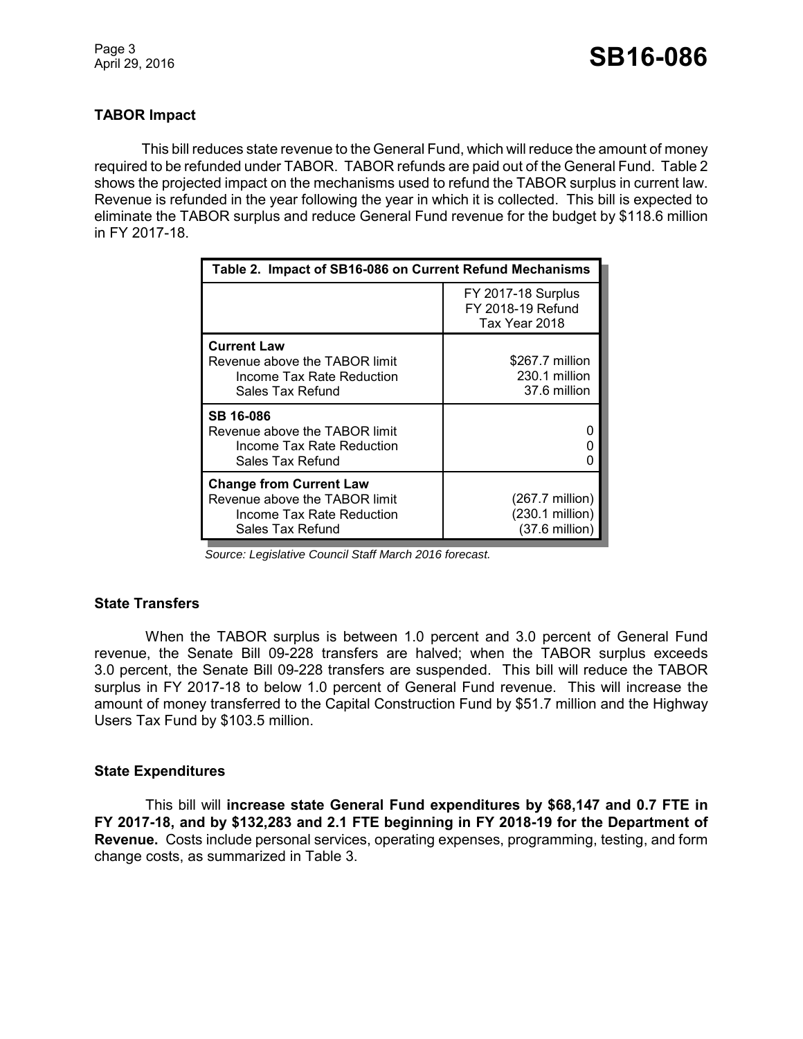#### **TABOR Impact**

This bill reduces state revenue to the General Fund, which will reduce the amount of money required to be refunded under TABOR. TABOR refunds are paid out of the General Fund. Table 2 shows the projected impact on the mechanisms used to refund the TABOR surplus in current law. Revenue is refunded in the year following the year in which it is collected. This bill is expected to eliminate the TABOR surplus and reduce General Fund revenue for the budget by \$118.6 million in FY 2017-18.

| Table 2. Impact of SB16-086 on Current Refund Mechanisms                                                         |                                                                          |  |
|------------------------------------------------------------------------------------------------------------------|--------------------------------------------------------------------------|--|
|                                                                                                                  | <b>FY 2017-18 Surplus</b><br>FY 2018-19 Refund<br>Tax Year 2018          |  |
| <b>Current Law</b><br>Revenue above the TABOR limit<br>Income Tax Rate Reduction<br>Sales Tax Refund             | \$267.7 million<br>230.1 million<br>37.6 million                         |  |
| <b>SB 16-086</b><br>Revenue above the TABOR limit<br>Income Tax Rate Reduction<br><b>Sales Tax Refund</b>        |                                                                          |  |
| <b>Change from Current Law</b><br>Revenue above the TABOR limit<br>Income Tax Rate Reduction<br>Sales Tax Refund | $(267.7 \text{ million})$<br>(230.1 million)<br>$(37.6 \text{ million})$ |  |

 *Source: Legislative Council Staff March 2016 forecast.*

#### **State Transfers**

When the TABOR surplus is between 1.0 percent and 3.0 percent of General Fund revenue, the Senate Bill 09-228 transfers are halved; when the TABOR surplus exceeds 3.0 percent, the Senate Bill 09-228 transfers are suspended. This bill will reduce the TABOR surplus in FY 2017-18 to below 1.0 percent of General Fund revenue. This will increase the amount of money transferred to the Capital Construction Fund by \$51.7 million and the Highway Users Tax Fund by \$103.5 million.

#### **State Expenditures**

This bill will **increase state General Fund expenditures by \$68,147 and 0.7 FTE in FY 2017-18, and by \$132,283 and 2.1 FTE beginning in FY 2018-19 for the Department of Revenue.** Costs include personal services, operating expenses, programming, testing, and form change costs, as summarized in Table 3.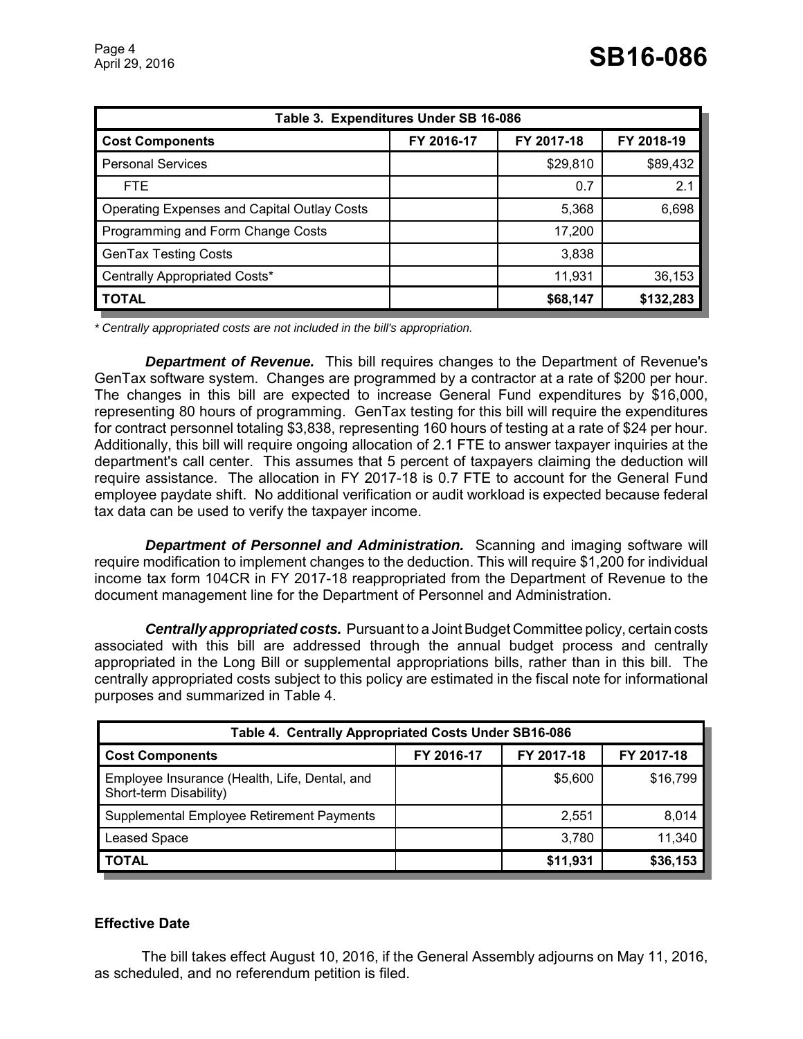| Table 3. Expenditures Under SB 16-086              |            |            |            |  |
|----------------------------------------------------|------------|------------|------------|--|
| <b>Cost Components</b>                             | FY 2016-17 | FY 2017-18 | FY 2018-19 |  |
| <b>Personal Services</b>                           |            | \$29,810   | \$89,432   |  |
| FTE.                                               |            | 0.7        | 2.1        |  |
| <b>Operating Expenses and Capital Outlay Costs</b> |            | 5,368      | 6,698      |  |
| Programming and Form Change Costs                  |            | 17,200     |            |  |
| <b>GenTax Testing Costs</b>                        |            | 3,838      |            |  |
| Centrally Appropriated Costs*                      |            | 11,931     | 36,153     |  |
| <b>TOTAL</b>                                       |            | \$68,147   | \$132,283  |  |

*\* Centrally appropriated costs are not included in the bill's appropriation.*

*Department of Revenue.* This bill requires changes to the Department of Revenue's GenTax software system. Changes are programmed by a contractor at a rate of \$200 per hour. The changes in this bill are expected to increase General Fund expenditures by \$16,000, representing 80 hours of programming. GenTax testing for this bill will require the expenditures for contract personnel totaling \$3,838, representing 160 hours of testing at a rate of \$24 per hour. Additionally, this bill will require ongoing allocation of 2.1 FTE to answer taxpayer inquiries at the department's call center. This assumes that 5 percent of taxpayers claiming the deduction will require assistance. The allocation in FY 2017-18 is 0.7 FTE to account for the General Fund employee paydate shift. No additional verification or audit workload is expected because federal tax data can be used to verify the taxpayer income.

*Department of Personnel and Administration.* Scanning and imaging software will require modification to implement changes to the deduction. This will require \$1,200 for individual income tax form 104CR in FY 2017-18 reappropriated from the Department of Revenue to the document management line for the Department of Personnel and Administration.

*Centrally appropriated costs.* Pursuant to a Joint Budget Committee policy, certain costs associated with this bill are addressed through the annual budget process and centrally appropriated in the Long Bill or supplemental appropriations bills, rather than in this bill. The centrally appropriated costs subject to this policy are estimated in the fiscal note for informational purposes and summarized in Table 4.

| Table 4. Centrally Appropriated Costs Under SB16-086                    |            |            |            |  |
|-------------------------------------------------------------------------|------------|------------|------------|--|
| <b>Cost Components</b>                                                  | FY 2016-17 | FY 2017-18 | FY 2017-18 |  |
| Employee Insurance (Health, Life, Dental, and<br>Short-term Disability) |            | \$5,600    | \$16,799   |  |
| Supplemental Employee Retirement Payments                               |            | 2,551      | 8,014      |  |
| <b>Leased Space</b>                                                     |            | 3,780      | 11,340     |  |
| <b>TOTAL</b>                                                            |            | \$11,931   | \$36,153   |  |

#### **Effective Date**

The bill takes effect August 10, 2016, if the General Assembly adjourns on May 11, 2016, as scheduled, and no referendum petition is filed.